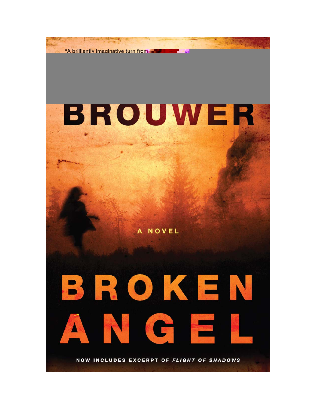"A brilliantly imaginative turn from Form

### BROUWER

### OVEL

# BIROKEN

**INCLUDES EXCERPT FLIGHT OF SHADOWS**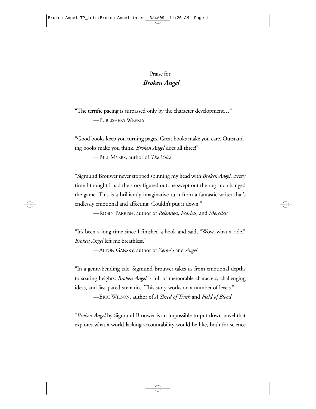### Praise for *Broken Angel*

"The terrific pacing is surpassed only by the character development…" —PUBLISHERS WEEKLY

"Good books keep you turning pages. Great books make you care. Outstanding books make you think. *Broken Angel* does all three!"

—BILL MYERS, author of *The Voice*

"Sigmund Brouwer never stopped spinning my head with *Broken Angel*. Every time I thought I had the story figured out, he swept out the rug and changed the game. This is a brilliantly imaginative turn from a fantastic writer that's endlessly emotional and affecting. Couldn't put it down."

—ROBIN PARRISH, author of *Relentless*, *Fearless*, and *Merciless*

"It's been a long time since I finished a book and said, "Wow, what a ride." *Broken Angel* left me breathless."

—ALTON GANSKY, author of *Zero-G* and *Angel*

"In a genre-bending tale, Sigmund Brouwer takes us from emotional depths to soaring heights. *Broken Angel* is full of memorable characters, challenging ideas, and fast-paced scenarios. This story works on a number of levels."

—ERIC WILSON, author of *A Shred of Truth* and *Field of Blood*

"*Broken Angel* by Sigmund Brouwer is an impossible-to-put-down novel that explores what a world lacking accountability would be like, both for science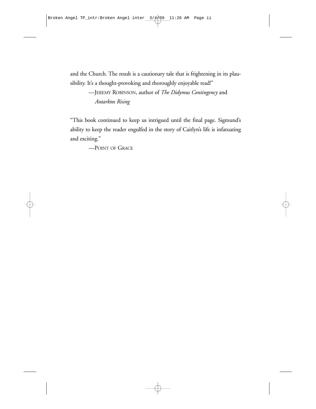and the Church. The result is a cautionary tale that is frightening in its plausibility. It's a thought-provoking and thoroughly enjoyable read!"

> —JEREMY ROBINSON, author of *The Didymus Contingency* and *Antarktos Rising*

"This book continued to keep us intrigued until the final page. Sigmund's ability to keep the reader engulfed in the story of Caitlyn's life is infatuating and exciting."

—POINT OF GRACE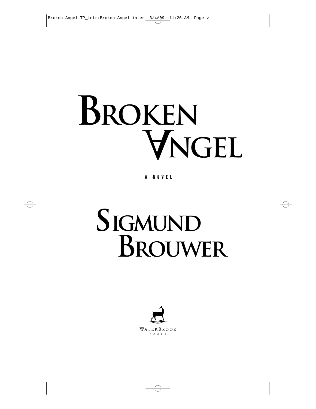# **BROKEN NGEL <sup>A</sup>**

A NOVEL

## **SIGMUND BROUWER**

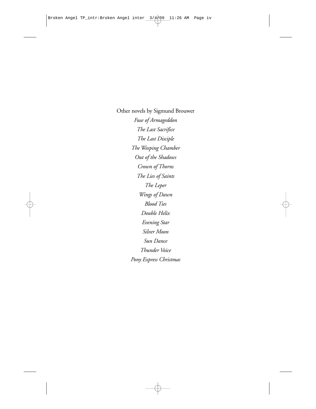Other novels by Sigmund Brouwer *Fuse of Armageddon The Last Sacrifice The Last Disciple The Weeping Chamber Out of the Shadows Crown of Thorns The Lies of Saints The Leper Wings of Dawn Blood Ties Double Helix Evening Star Silver Moon Sun Dance Thunder Voice Pony Express Christmas*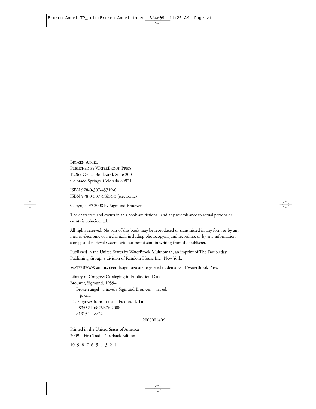BROKEN ANGEL PUBLISHED BY WATERBROOK PRESS 12265 Oracle Boulevard, Suite 200 Colorado Springs, Colorado 80921

ISBN 978-0-307-45719-6 ISBN 978-0-307-44634-3 (electronic)

Copyright © 2008 by Sigmund Brouwer

The characters and events in this book are fictional, and any resemblance to actual persons or events is coincidental.

All rights reserved. No part of this book may be reproduced or transmitted in any form or by any means, electronic or mechanical, including photocopying and recording, or by any information storage and retrieval system, without permission in writing from the publisher.

Published in the United States by WaterBrook Multnomah, an imprint of The Doubleday Publishing Group, a division of Random House Inc., New York.

WATERBROOK and its deer design logo are registered trademarks of WaterBrook Press.

Library of Congress Cataloging-in-Publication Data Brouwer, Sigmund, 1959– Broken angel : a novel / Sigmund Brouwer.—1st ed. p. cm. 1. Fugitives from justice—Fiction. I. Title. PS3552.R6825B76 2008 813'.54—dc22

2008001406

Printed in the United States of America 2009—First Trade Paperback Edition

10 9 8 7 6 5 4 3 2 1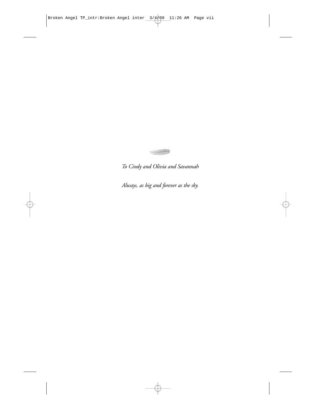

*To Cindy and Olivia and Savannah*

*Always, as big and forever as the sky.*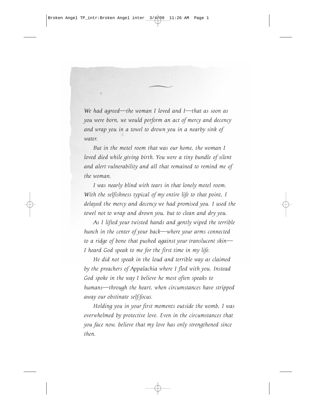*We had agreed—the woman I loved and I—that as soon as you were born, we would perform an act of mercy and decency and wrap you in a towel to drown you in a nearby sink of water.*

 $\overline{\phantom{1}}$ 

*But in the motel room that was our home, the woman I loved died while giving birth. You were a tiny bundle of silent and alert vulnerability and all that remained to remind me of the woman.*

*I was nearly blind with tears in that lonely motel room. With the selfishness typical of my entire life to that point, I delayed the mercy and decency we had promised you. I used the towel not to wrap and drown you, but to clean and dry you.* 

*As I lifted your twisted hands and gently wiped the terrible hunch in the center of your back—where your arms connected to a ridge of bone that pushed against your translucent skin— I heard God speak to me for the first time in my life.*

*He did not speak in the loud and terrible way as claimed by the preachers of Appalachia where I fled with you. Instead God spoke in the way I believe he most often speaks to humans—through the heart, when circumstances have stripped away our obstinate self-focus.*

*Holding you in your first moments outside the womb, I was overwhelmed by protective love. Even in the circumstances that you face now, believe that my love has only strengthened since then.*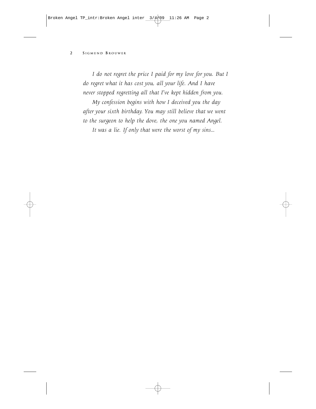*I do not regret the price I paid for my love for you. But I do regret what it has cost you, all your life. And I have never stopped regretting all that I've kept hidden from you. My confession begins with how I deceived you the day after your sixth birthday. You may still believe that we went to the surgeon to help the dove, the one you named Angel. It was a lie. If only that were the worst of my sins…*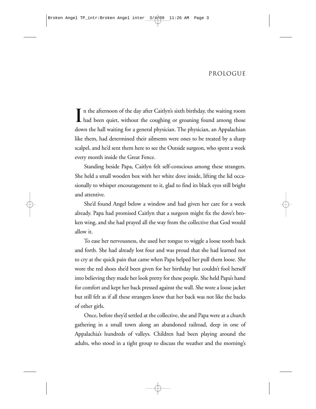### Prologue

In the afternoon of the day after Caitlyn's sixth birthday, the waiting room<br>had been quiet, without the coughing or groaning found among those had been quiet, without the coughing or groaning found among those down the hall waiting for a general physician. The physician, an Appalachian like them, had determined their ailments were ones to be treated by a sharp scalpel, and he'd sent them here to see the Outside surgeon, who spent a week every month inside the Great Fence.

Standing beside Papa, Caitlyn felt self-conscious among these strangers. She held a small wooden box with her white dove inside, lifting the lid occasionally to whisper encouragement to it, glad to find its black eyes still bright and attentive.

She'd found Angel below a window and had given her care for a week already. Papa had promised Caitlyn that a surgeon might fix the dove's broken wing, and she had prayed all the way from the collective that God would allow it.

To ease her nervousness, she used her tongue to wiggle a loose tooth back and forth. She had already lost four and was proud that she had learned not to cry at the quick pain that came when Papa helped her pull them loose. She wore the red shoes she'd been given for her birthday but couldn't fool herself into believing they made her look pretty for these people. She held Papa's hand for comfort and kept her back pressed against the wall. She wore a loose jacket but still felt as if all these strangers knew that her back was not like the backs of other girls.

Once, before they'd settled at the collective, she and Papa were at a church gathering in a small town along an abandoned railroad, deep in one of Appalachia's hundreds of valleys. Children had been playing around the adults, who stood in a tight group to discuss the weather and the morning's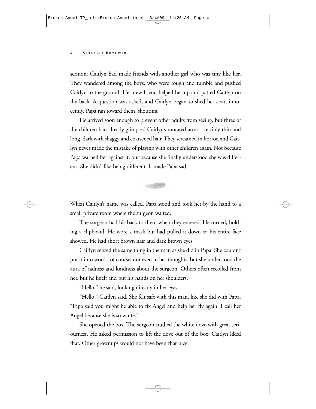sermon. Caitlyn had made friends with another girl who was tiny like her. They wandered among the boys, who were rough and tumble and pushed Caitlyn to the ground. Her new friend helped her up and patted Caitlyn on the back. A question was asked, and Caitlyn began to shed her coat, innocently. Papa ran toward them, shouting.

He arrived soon enough to prevent other adults from seeing, but three of the children had already glimpsed Caitlyn's mutated arms—terribly thin and long, dark with shaggy and coarsened hair. They screamed in horror, and Caitlyn never made the mistake of playing with other children again. Not because Papa warned her against it, but because she finally understood she was different. She didn't like being different. It made Papa sad.

When Caitlyn's name was called, Papa stood and took her by the hand to a small private room where the surgeon waited.

The surgeon had his back to them when they entered. He turned, holding a clipboard. He wore a mask but had pulled it down so his entire face showed. He had short brown hair and dark brown eyes.

Caitlyn sensed the same thing in the man as she did in Papa. She couldn't put it into words, of course, not even in her thoughts, but she understood the aura of sadness and kindness about the surgeon. Others often recoiled from her, but he knelt and put his hands on her shoulders.

"Hello," he said, looking directly in her eyes.

"Hello," Caitlyn said. She felt safe with this man, like she did with Papa. "Papa said you might be able to fix Angel and help her fly again. I call her Angel because she is so white."

She opened the box. The surgeon studied the white dove with great seriousness. He asked permission to lift the dove out of the box. Caitlyn liked that. Other grownups would not have been that nice.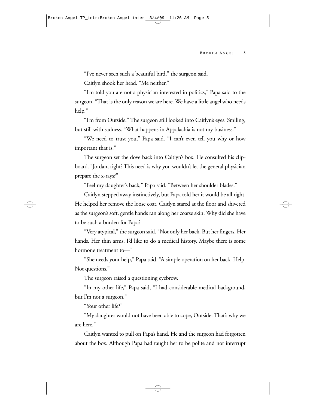"I've never seen such a beautiful bird," the surgeon said.

Caitlyn shook her head. "Me neither."

"I'm told you are not a physician interested in politics," Papa said to the surgeon. "That is the only reason we are here. We have a little angel who needs help."

"I'm from Outside." The surgeon still looked into Caitlyn's eyes. Smiling, but still with sadness. "What happens in Appalachia is not my business."

"We need to trust you," Papa said. "I can't even tell you why or how important that is."

The surgeon set the dove back into Caitlyn's box. He consulted his clipboard. "Jordan, right? This need is why you wouldn't let the general physician prepare the x-rays?"

"Feel my daughter's back," Papa said. "Between her shoulder blades."

Caitlyn stepped away instinctively, but Papa told her it would be all right. He helped her remove the loose coat. Caitlyn stared at the floor and shivered as the surgeon's soft, gentle hands ran along her coarse skin. Why did she have to be such a burden for Papa?

"Very atypical," the surgeon said. "Not only her back. But her fingers. Her hands. Her thin arms. I'd like to do a medical history. Maybe there is some hormone treatment to—"

"She needs your help," Papa said. "A simple operation on her back. Help. Not questions."

The surgeon raised a questioning eyebrow.

"In my other life," Papa said, "I had considerable medical background, but I'm not a surgeon."

"Your other life?"

"My daughter would not have been able to cope, Outside. That's why we are here."

Caitlyn wanted to pull on Papa's hand. He and the surgeon had forgotten about the box. Although Papa had taught her to be polite and not interrupt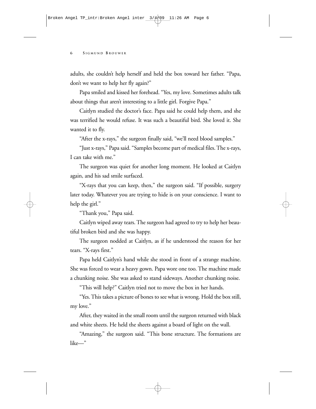adults, she couldn't help herself and held the box toward her father. "Papa, don't we want to help her fly again?"

Papa smiled and kissed her forehead. "Yes, my love. Sometimes adults talk about things that aren't interesting to a little girl. Forgive Papa."

Caitlyn studied the doctor's face. Papa said he could help them, and she was terrified he would refuse. It was such a beautiful bird. She loved it. She wanted it to fly.

"After the x-rays," the surgeon finally said, "we'll need blood samples."

"Just x-rays," Papa said. "Samples become part of medical files. The x-rays, I can take with me."

The surgeon was quiet for another long moment. He looked at Caitlyn again, and his sad smile surfaced.

"X-rays that you can keep, then," the surgeon said. "If possible, surgery later today. Whatever you are trying to hide is on your conscience. I want to help the girl."

"Thank you," Papa said.

Caitlyn wiped away tears. The surgeon had agreed to try to help her beautiful broken bird and she was happy.

The surgeon nodded at Caitlyn, as if he understood the reason for her tears. "X-rays first."

Papa held Caitlyn's hand while she stood in front of a strange machine. She was forced to wear a heavy gown. Papa wore one too. The machine made a chunking noise. She was asked to stand sideways. Another chunking noise.

"This will help?" Caitlyn tried not to move the box in her hands.

"Yes. This takes a picture of bones to see what is wrong. Hold the box still, my love."

After, they waited in the small room until the surgeon returned with black and white sheets. He held the sheets against a board of light on the wall.

"Amazing," the surgeon said. "This bone structure. The formations are like—"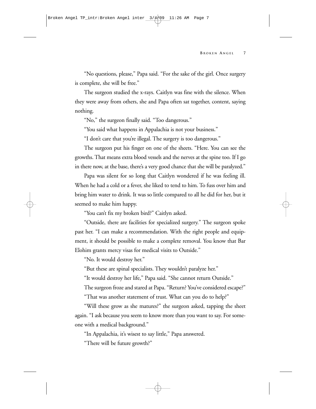"No questions, please," Papa said. "For the sake of the girl. Once surgery is complete, she will be free."

The surgeon studied the x-rays. Caitlyn was fine with the silence. When they were away from others, she and Papa often sat together, content, saying nothing.

"No," the surgeon finally said. "Too dangerous."

"You said what happens in Appalachia is not your business."

"I don't care that you're illegal. The surgery is too dangerous."

The surgeon put his finger on one of the sheets. "Here. You can see the growths. That means extra blood vessels and the nerves at the spine too. If I go in there now, at the base, there's a very good chance that she will be paralyzed."

Papa was silent for so long that Caitlyn wondered if he was feeling ill. When he had a cold or a fever, she liked to tend to him. To fuss over him and bring him water to drink. It was so little compared to all he did for her, but it seemed to make him happy.

"You can't fix my broken bird?" Caitlyn asked.

"Outside, there are facilities for specialized surgery." The surgeon spoke past her. "I can make a recommendation. With the right people and equipment, it should be possible to make a complete removal. You know that Bar Elohim grants mercy visas for medical visits to Outside."

"No. It would destroy her."

"But these are spinal specialists. They wouldn't paralyze her."

"It would destroy her life," Papa said. "She cannot return Outside."

The surgeon froze and stared at Papa. "Return? You've considered escape?"

"That was another statement of trust. What can you do to help?"

"Will these grow as she matures?" the surgeon asked, tapping the sheet again. "I ask because you seem to know more than you want to say. For someone with a medical background."

"In Appalachia, it's wisest to say little," Papa answered.

"There will be future growth?"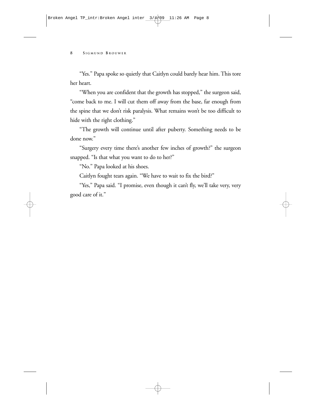"Yes." Papa spoke so quietly that Caitlyn could barely hear him. This tore her heart.

"When you are confident that the growth has stopped," the surgeon said, "come back to me. I will cut them off away from the base, far enough from the spine that we don't risk paralysis. What remains won't be too difficult to hide with the right clothing."

"The growth will continue until after puberty. Something needs to be done now."

"Surgery every time there's another few inches of growth?" the surgeon snapped. "Is that what you want to do to her?"

"No." Papa looked at his shoes.

Caitlyn fought tears again. "We have to wait to fix the bird?"

"Yes," Papa said. "I promise, even though it can't fly, we'll take very, very good care of it."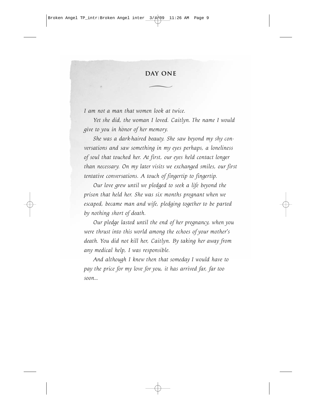### **Day One**

 $\overline{\phantom{0}}$ 

*I am not a man that women look at twice.*

*Yet she did, the woman I loved. Caitlyn. The name I would give to you in honor of her memory.*

*She was a dark-haired beauty. She saw beyond my shy conversations and saw something in my eyes perhaps, a loneliness of soul that touched her. At first, our eyes held contact longer than necessary. On my later visits we exchanged smiles, our first tentative conversations. A touch of fingertip to fingertip.*

*Our love grew until we pledged to seek a life beyond the prison that held her. She was six months pregnant when we escaped, became man and wife, pledging together to be parted by nothing short of death.*

*Our pledge lasted until the end of her pregnancy, when you were thrust into this world among the echoes of your mother's death. You did not kill her, Caitlyn. By taking her away from any medical help, I was responsible.*

*And although I knew then that someday I would have to pay the price for my love for you, it has arrived far, far too soon…*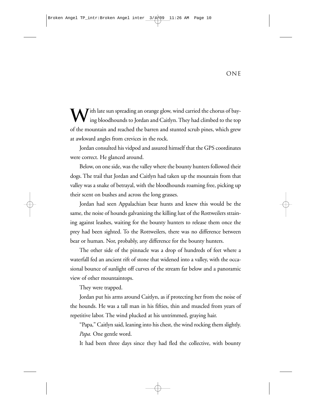**M**  $\overline{I}$  ith late sun spreading an orange glow, wind carried the chorus of baying bloodhounds to Jordan and Caitlyn. They had climbed to the top of the mountain and reached the barren and stunted scrub pines, which grew at awkward angles from crevices in the rock.

Jordan consulted his vidpod and assured himself that the GPS coordinates were correct. He glanced around.

Below, on one side, was the valley where the bounty hunters followed their dogs. The trail that Jordan and Caitlyn had taken up the mountain from that valley was a snake of betrayal, with the bloodhounds roaming free, picking up their scent on bushes and across the long grasses.

Jordan had seen Appalachian bear hunts and knew this would be the same, the noise of hounds galvanizing the killing lust of the Rottweilers straining against leashes, waiting for the bounty hunters to release them once the prey had been sighted. To the Rottweilers, there was no difference between bear or human. Nor, probably, any difference for the bounty hunters.

The other side of the pinnacle was a drop of hundreds of feet where a waterfall fed an ancient rift of stone that widened into a valley, with the occasional bounce of sunlight off curves of the stream far below and a panoramic view of other mountaintops.

They were trapped.

Jordan put his arms around Caitlyn, as if protecting her from the noise of the hounds. He was a tall man in his fifties, thin and muscled from years of repetitive labor. The wind plucked at his untrimmed, graying hair.

"Papa," Caitlyn said, leaning into his chest, the wind rocking them slightly. *Papa.* One gentle word.

It had been three days since they had fled the collective, with bounty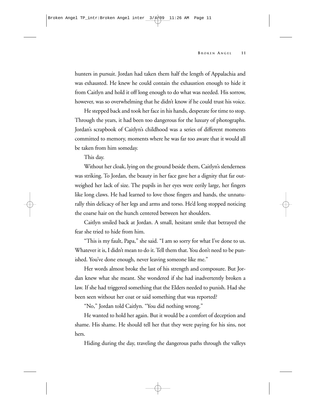hunters in pursuit. Jordan had taken them half the length of Appalachia and was exhausted. He knew he could contain the exhaustion enough to hide it from Caitlyn and hold it off long enough to do what was needed. His sorrow, however, was so overwhelming that he didn't know if he could trust his voice.

He stepped back and took her face in his hands, desperate for time to stop. Through the years, it had been too dangerous for the luxury of photographs. Jordan's scrapbook of Caitlyn's childhood was a series of different moments committed to memory, moments where he was far too aware that it would all be taken from him someday.

This day.

Without her cloak, lying on the ground beside them, Caitlyn's slenderness was striking. To Jordan, the beauty in her face gave her a dignity that far outweighed her lack of size. The pupils in her eyes were eerily large, her fingers like long claws. He had learned to love those fingers and hands, the unnaturally thin delicacy of her legs and arms and torso. He'd long stopped noticing the coarse hair on the hunch centered between her shoulders.

Caitlyn smiled back at Jordan. A small, hesitant smile that betrayed the fear she tried to hide from him.

"This is my fault, Papa," she said. "I am so sorry for what I've done to us. Whatever it is, I didn't mean to do it. Tell them that. You don't need to be punished. You've done enough, never leaving someone like me."

Her words almost broke the last of his strength and composure. But Jordan knew what she meant. She wondered if she had inadvertently broken a law. If she had triggered something that the Elders needed to punish. Had she been seen without her coat or said something that was reported?

"No," Jordan told Caitlyn. "You did nothing wrong."

He wanted to hold her again. But it would be a comfort of deception and shame. His shame. He should tell her that they were paying for his sins, not hers.

Hiding during the day, traveling the dangerous paths through the valleys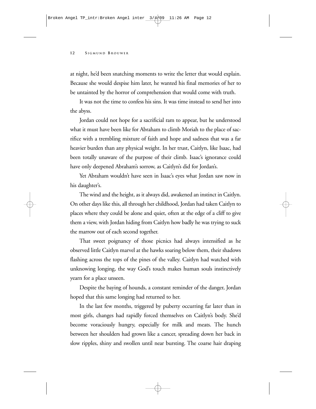at night, he'd been snatching moments to write the letter that would explain. Because she would despise him later, he wanted his final memories of her to be untainted by the horror of comprehension that would come with truth.

It was not the time to confess his sins. It was time instead to send her into the abyss.

Jordan could not hope for a sacrificial ram to appear, but he understood what it must have been like for Abraham to climb Moriah to the place of sacrifice with a trembling mixture of faith and hope and sadness that was a far heavier burden than any physical weight. In her trust, Caitlyn, like Isaac, had been totally unaware of the purpose of their climb. Isaac's ignorance could have only deepened Abraham's sorrow, as Caitlyn's did for Jordan's.

Yet Abraham wouldn't have seen in Isaac's eyes what Jordan saw now in his daughter's.

The wind and the height, as it always did, awakened an instinct in Caitlyn. On other days like this, all through her childhood, Jordan had taken Caitlyn to places where they could be alone and quiet, often at the edge of a cliff to give them a view, with Jordan hiding from Caitlyn how badly he was trying to suck the marrow out of each second together.

That sweet poignancy of those picnics had always intensified as he observed little Caitlyn marvel at the hawks soaring below them, their shadows flashing across the tops of the pines of the valley. Caitlyn had watched with unknowing longing, the way God's touch makes human souls instinctively yearn for a place unseen.

Despite the baying of hounds, a constant reminder of the danger, Jordan hoped that this same longing had returned to her.

In the last few months, triggered by puberty occurring far later than in most girls, changes had rapidly forced themselves on Caitlyn's body. She'd become voraciously hungry, especially for milk and meats. The hunch between her shoulders had grown like a cancer, spreading down her back in slow ripples, shiny and swollen until near bursting. The coarse hair draping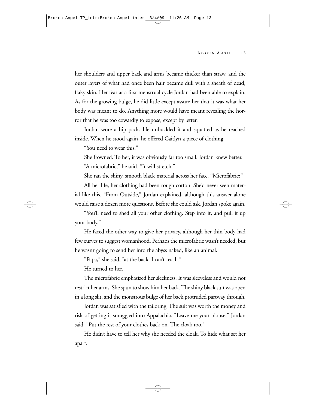her shoulders and upper back and arms became thicker than straw, and the outer layers of what had once been hair became dull with a sheath of dead, flaky skin. Her fear at a first menstrual cycle Jordan had been able to explain. As for the growing bulge, he did little except assure her that it was what her body was meant to do. Anything more would have meant revealing the horror that he was too cowardly to expose, except by letter.

Jordan wore a hip pack. He unbuckled it and squatted as he reached inside. When he stood again, he offered Caitlyn a piece of clothing.

"You need to wear this."

She frowned. To her, it was obviously far too small. Jordan knew better.

"A microfabric," he said. "It will stretch."

She ran the shiny, smooth black material across her face. "Microfabric?"

All her life, her clothing had been rough cotton. She'd never seen material like this. "From Outside," Jordan explained, although this answer alone would raise a dozen more questions. Before she could ask, Jordan spoke again.

"You'll need to shed all your other clothing. Step into it, and pull it up your body."

He faced the other way to give her privacy, although her thin body had few curves to suggest womanhood. Perhaps the microfabric wasn't needed, but he wasn't going to send her into the abyss naked, like an animal.

"Papa," she said, "at the back. I can't reach."

He turned to her.

The microfabric emphasized her sleekness. It was sleeveless and would not restrict her arms. She spun to show him her back. The shiny black suit was open in a long slit, and the monstrous bulge of her back protruded partway through.

Jordan was satisfied with the tailoring. The suit was worth the money and risk of getting it smuggled into Appalachia. "Leave me your blouse," Jordan said. "Put the rest of your clothes back on. The cloak too."

He didn't have to tell her why she needed the cloak. To hide what set her apart.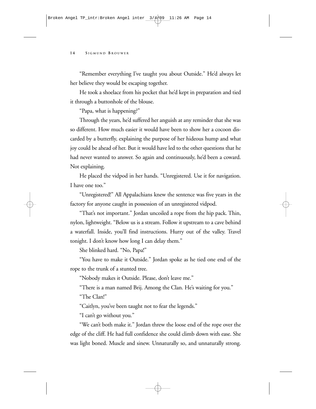"Remember everything I've taught you about Outside." He'd always let her believe they would be escaping together.

He took a shoelace from his pocket that he'd kept in preparation and tied it through a buttonhole of the blouse.

"Papa, what is happening?"

Through the years, he'd suffered her anguish at any reminder that she was so different. How much easier it would have been to show her a cocoon discarded by a butterfly, explaining the purpose of her hideous hump and what joy could be ahead of her. But it would have led to the other questions that he had never wanted to answer. So again and continuously, he'd been a coward. Not explaining.

He placed the vidpod in her hands. "Unregistered. Use it for navigation. I have one too."

"Unregistered!" All Appalachians knew the sentence was five years in the factory for anyone caught in possession of an unregistered vidpod.

"That's not important." Jordan uncoiled a rope from the hip pack. Thin, nylon, lightweight. "Below us is a stream. Follow it upstream to a cave behind a waterfall. Inside, you'll find instructions. Hurry out of the valley. Travel tonight. I don't know how long I can delay them."

She blinked hard. "No, Papa!"

"You have to make it Outside." Jordan spoke as he tied one end of the rope to the trunk of a stunted tree.

"Nobody makes it Outside. Please, don't leave me."

"There is a man named Brij. Among the Clan. He's waiting for you."

"The Clan!"

"Caitlyn, you've been taught not to fear the legends."

"I can't go without you."

"We can't both make it." Jordan threw the loose end of the rope over the edge of the cliff. He had full confidence she could climb down with ease. She was light boned. Muscle and sinew. Unnaturally so, and unnaturally strong.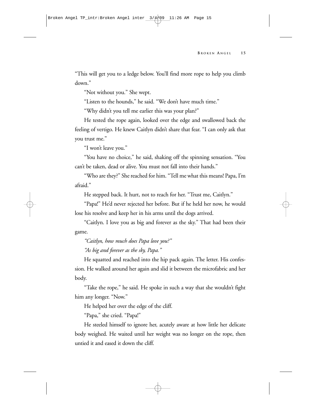"This will get you to a ledge below. You'll find more rope to help you climb down."

"Not without you." She wept.

"Listen to the hounds," he said. "We don't have much time."

"Why didn't you tell me earlier this was your plan?"

He tested the rope again, looked over the edge and swallowed back the feeling of vertigo. He knew Caitlyn didn't share that fear. "I can only ask that you trust me."

"I won't leave you."

"You have no choice," he said, shaking off the spinning sensation. "You can't be taken, dead or alive. You must not fall into their hands."

"Who are they?" She reached for him. "Tell me what this means! Papa, I'm afraid."

He stepped back. It hurt, not to reach for her. "Trust me, Caitlyn."

"Papa!" He'd never rejected her before. But if he held her now, he would lose his resolve and keep her in his arms until the dogs arrived.

"Caitlyn. I love you as big and forever as the sky." That had been their game.

*"Caitlyn, how much does Papa love you?"*

*"As big and forever as the sky, Papa."*

He squatted and reached into the hip pack again. The letter. His confession. He walked around her again and slid it between the microfabric and her body.

"Take the rope," he said. He spoke in such a way that she wouldn't fight him any longer. "Now."

He helped her over the edge of the cliff.

"Papa," she cried. "Papa!"

He steeled himself to ignore her, acutely aware at how little her delicate body weighed. He waited until her weight was no longer on the rope, then untied it and eased it down the cliff.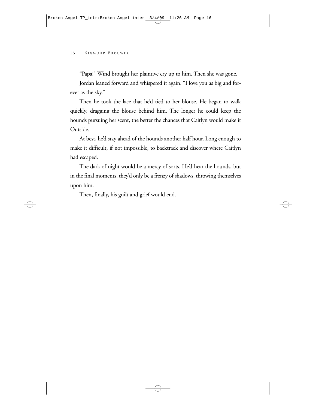"Papa!" Wind brought her plaintive cry up to him. Then she was gone.

Jordan leaned forward and whispered it again. "I love you as big and forever as the sky."

Then he took the lace that he'd tied to her blouse. He began to walk quickly, dragging the blouse behind him. The longer he could keep the hounds pursuing her scent, the better the chances that Caitlyn would make it Outside.

At best, he'd stay ahead of the hounds another half hour. Long enough to make it difficult, if not impossible, to backtrack and discover where Caitlyn had escaped.

The dark of night would be a mercy of sorts. He'd hear the hounds, but in the final moments, they'd only be a frenzy of shadows, throwing themselves upon him.

Then, finally, his guilt and grief would end.